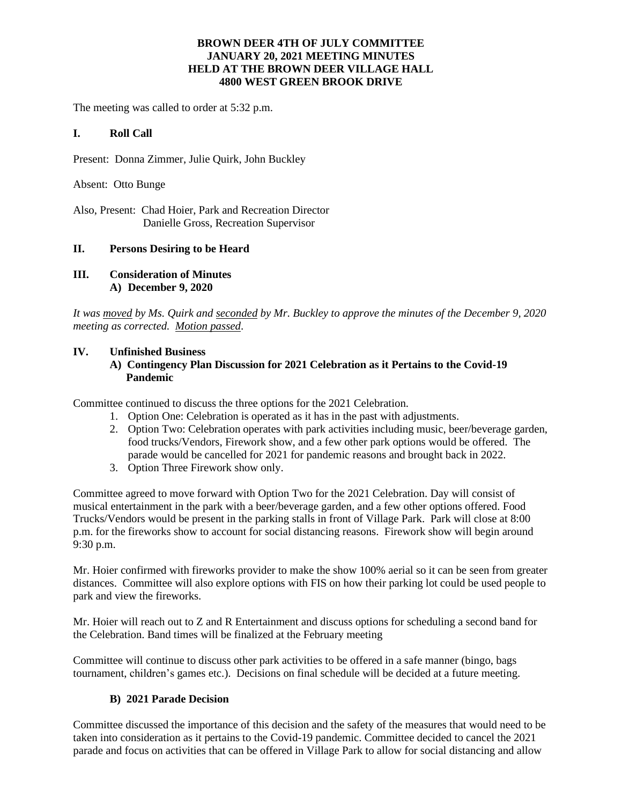### **BROWN DEER 4TH OF JULY COMMITTEE JANUARY 20, 2021 MEETING MINUTES HELD AT THE BROWN DEER VILLAGE HALL 4800 WEST GREEN BROOK DRIVE**

The meeting was called to order at 5:32 p.m.

#### **I. Roll Call**

Present: Donna Zimmer, Julie Quirk, John Buckley

Absent: Otto Bunge

Also, Present: Chad Hoier, Park and Recreation Director Danielle Gross, Recreation Supervisor

### **II. Persons Desiring to be Heard**

**III. Consideration of Minutes A) December 9, 2020**

*It was moved by Ms. Quirk and seconded by Mr. Buckley to approve the minutes of the December 9, 2020 meeting as corrected. Motion passed*.

### **IV. Unfinished Business**

### **A) Contingency Plan Discussion for 2021 Celebration as it Pertains to the Covid-19 Pandemic**

Committee continued to discuss the three options for the 2021 Celebration.

- 1. Option One: Celebration is operated as it has in the past with adjustments.
- 2. Option Two: Celebration operates with park activities including music, beer/beverage garden, food trucks/Vendors, Firework show, and a few other park options would be offered. The parade would be cancelled for 2021 for pandemic reasons and brought back in 2022.
- 3. Option Three Firework show only.

Committee agreed to move forward with Option Two for the 2021 Celebration. Day will consist of musical entertainment in the park with a beer/beverage garden, and a few other options offered. Food Trucks/Vendors would be present in the parking stalls in front of Village Park. Park will close at 8:00 p.m. for the fireworks show to account for social distancing reasons. Firework show will begin around 9:30 p.m.

Mr. Hoier confirmed with fireworks provider to make the show 100% aerial so it can be seen from greater distances. Committee will also explore options with FIS on how their parking lot could be used people to park and view the fireworks.

Mr. Hoier will reach out to Z and R Entertainment and discuss options for scheduling a second band for the Celebration. Band times will be finalized at the February meeting

Committee will continue to discuss other park activities to be offered in a safe manner (bingo, bags tournament, children's games etc.). Decisions on final schedule will be decided at a future meeting.

### **B) 2021 Parade Decision**

Committee discussed the importance of this decision and the safety of the measures that would need to be taken into consideration as it pertains to the Covid-19 pandemic. Committee decided to cancel the 2021 parade and focus on activities that can be offered in Village Park to allow for social distancing and allow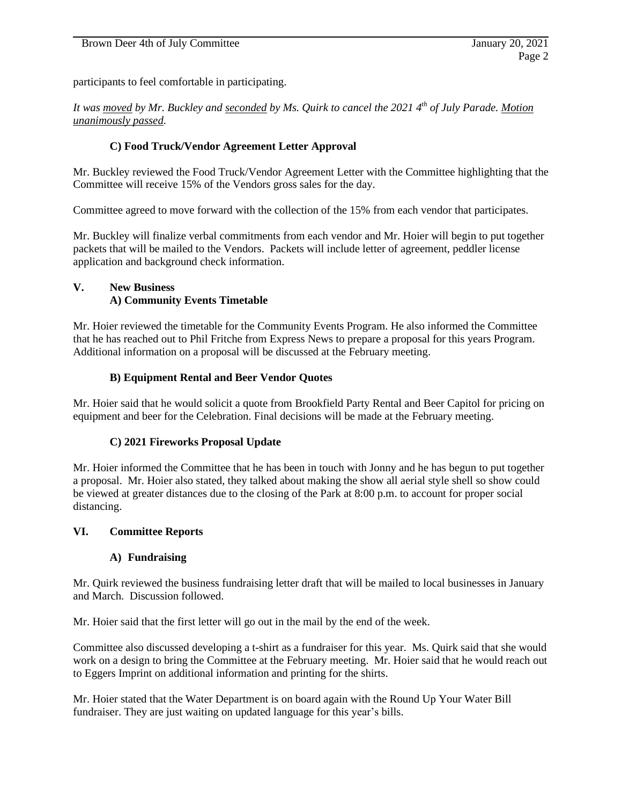participants to feel comfortable in participating.

*It was moved by Mr. Buckley and seconded by Ms. Quirk to cancel the 2021 4th of July Parade. Motion unanimously passed.*

## **C) Food Truck/Vendor Agreement Letter Approval**

Mr. Buckley reviewed the Food Truck/Vendor Agreement Letter with the Committee highlighting that the Committee will receive 15% of the Vendors gross sales for the day.

Committee agreed to move forward with the collection of the 15% from each vendor that participates.

Mr. Buckley will finalize verbal commitments from each vendor and Mr. Hoier will begin to put together packets that will be mailed to the Vendors. Packets will include letter of agreement, peddler license application and background check information.

# **V. New Business A) Community Events Timetable**

Mr. Hoier reviewed the timetable for the Community Events Program. He also informed the Committee that he has reached out to Phil Fritche from Express News to prepare a proposal for this years Program. Additional information on a proposal will be discussed at the February meeting.

## **B) Equipment Rental and Beer Vendor Quotes**

Mr. Hoier said that he would solicit a quote from Brookfield Party Rental and Beer Capitol for pricing on equipment and beer for the Celebration. Final decisions will be made at the February meeting.

### **C) 2021 Fireworks Proposal Update**

Mr. Hoier informed the Committee that he has been in touch with Jonny and he has begun to put together a proposal. Mr. Hoier also stated, they talked about making the show all aerial style shell so show could be viewed at greater distances due to the closing of the Park at 8:00 p.m. to account for proper social distancing.

### **VI. Committee Reports**

### **A) Fundraising**

Mr. Quirk reviewed the business fundraising letter draft that will be mailed to local businesses in January and March. Discussion followed.

Mr. Hoier said that the first letter will go out in the mail by the end of the week.

Committee also discussed developing a t-shirt as a fundraiser for this year. Ms. Quirk said that she would work on a design to bring the Committee at the February meeting. Mr. Hoier said that he would reach out to Eggers Imprint on additional information and printing for the shirts.

Mr. Hoier stated that the Water Department is on board again with the Round Up Your Water Bill fundraiser. They are just waiting on updated language for this year's bills.